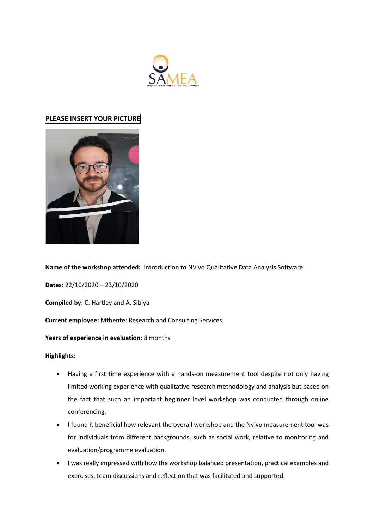

# **PLEASE INSERT YOUR PICTURE**



**Name of the workshop attended:** Introduction to NVivo Qualitative Data Analysis Software

**Dates:** 22/10/2020 – 23/10/2020

**Compiled by:** C. Hartley and A. Sibiya

**Current employee:** Mthente: Research and Consulting Services

## **Years of experience in evaluation:** 8 months

**Highlights:**

- Having a first time experience with a hands-on measurement tool despite not only having limited working experience with qualitative research methodology and analysis but based on the fact that such an important beginner level workshop was conducted through online conferencing.
- I found it beneficial how relevant the overall workshop and the Nvivo measurement tool was for individuals from different backgrounds, such as social work, relative to monitoring and evaluation/programme evaluation.
- I was really impressed with how the workshop balanced presentation, practical examples and exercises, team discussions and reflection that was facilitated and supported.